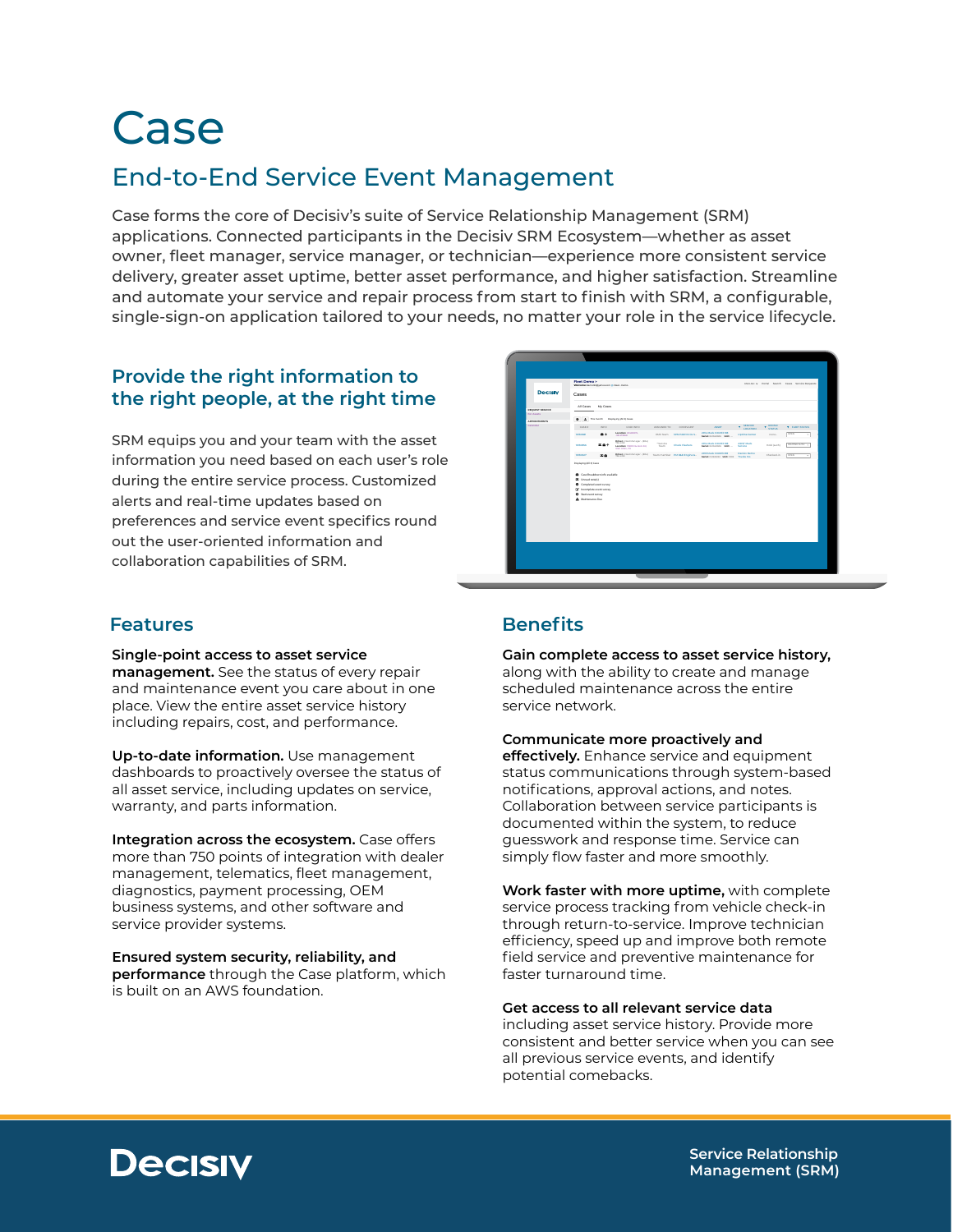# Case

## End-to-End Service Event Management

Case forms the core of Decisiv's suite of Service Relationship Management (SRM) applications. Connected participants in the Decisiv SRM Ecosystem—whether as asset owner, fleet manager, service manager, or technician—experience more consistent service delivery, greater asset uptime, better asset performance, and higher satisfaction. Streamline and automate your service and repair process from start to finish with SRM, a configurable, single-sign-on application tailored to your needs, no matter your role in the service lifecycle.

#### **Provide the right information to the right people, at the right time**

SRM equips you and your team with the asset information you need based on each user's role during the entire service process. Customized alerts and real-time updates based on preferences and service event specifics round out the user-oriented information and collaboration capabilities of SRM.

| <b>Decisiv</b>             | Fleet Demo ><br>Welcome: dans Clippelassum @ Fleet - Dans                                                                                            |                                                                                           |                   |                            |                                                              |                                   |                    | ENGLISH v. Purtal Search Cooks, Service-Beaumon |
|----------------------------|------------------------------------------------------------------------------------------------------------------------------------------------------|-------------------------------------------------------------------------------------------|-------------------|----------------------------|--------------------------------------------------------------|-----------------------------------|--------------------|-------------------------------------------------|
|                            | Cases                                                                                                                                                |                                                                                           |                   |                            |                                                              |                                   |                    |                                                 |
| REQUEST SERVICE            | All Cases My Cases                                                                                                                                   |                                                                                           |                   |                            |                                                              |                                   |                    |                                                 |
| For Assets<br>APPOINTMENTS |                                                                                                                                                      | 0 & Trismanth Displaying (ALE) Cases                                                      |                   |                            |                                                              |                                   |                    |                                                 |
| Calendar                   | CASE #                                                                                                                                               | INFO.<br>CASE INFO                                                                        | CT GRACILITAL     | CONTLANT                   | ASSET                                                        | <b>T</b> MINICE                   | <b>T</b> DEPAIR    | <b>T. FUELTINGS</b>                             |
|                            | 12030681                                                                                                                                             | Lengthen 2010/07/5<br>$\bullet +$<br><b>ALCOHOL</b>                                       |                   | EMI Team BPN P2220 N Os S. | 2014 Meck COLNISIANS<br>Sedak Endiscope, Melko               | <b>Upform Center</b>              | none.              | lores<br>$\sim$                                 |
|                            | 12/30/02/1                                                                                                                                           | Driven Float Manager: (80-2)<br>30,000<br>基盘条<br>Lengthen 10100 Hunton Dr.<br>Gen Man, VA | * Service<br>Team | Check Radwick              | 2014 Maria COURTS ME<br>Sedak Endisology, Melkow             | <b>ASSTMENT</b><br><b>Service</b> | <b>Held leaths</b> | WAITING AUDIT ->                                |
|                            | 10030627                                                                                                                                             | Driver Flockhoopy (800) Supermander PM 848 Engine &-<br>86                                |                   |                            | 2015 Mark CHUST HR<br>Sedak FI/222222 Media 1002 Trucks Inc. | Design Demo                       | Chesbed-In         | lores<br>×                                      |
|                            | Confirmátion (d) available<br>B Unread nately)<br>C Completed event survey<br>C Incomplete event survey<br>C Start event survey<br>A Maintenance Due |                                                                                           |                   |                            |                                                              |                                   |                    |                                                 |
|                            |                                                                                                                                                      |                                                                                           |                   |                            |                                                              |                                   |                    |                                                 |

#### **Features**

**Single-point access to asset service management.** See the status of every repair and maintenance event you care about in one place. View the entire asset service history including repairs, cost, and performance.

**Up-to-date information.** Use management dashboards to proactively oversee the status of all asset service, including updates on service, warranty, and parts information.

**Integration across the ecosystem.** Case offers more than 750 points of integration with dealer management, telematics, fleet management, diagnostics, payment processing, OEM business systems, and other software and service provider systems.

**Ensured system security, reliability, and performance** through the Case platform, which is built on an AWS foundation.

### **Benefits**

**Gain complete access to asset service history,**  along with the ability to create and manage scheduled maintenance across the entire service network.

**Communicate more proactively and effectively.** Enhance service and equipment status communications through system-based notifications, approval actions, and notes. Collaboration between service participants is documented within the system, to reduce guesswork and response time. Service can simply flow faster and more smoothly.

**Work faster with more uptime,** with complete service process tracking from vehicle check-in through return-to-service. Improve technician efficiency, speed up and improve both remote field service and preventive maintenance for faster turnaround time.

#### **Get access to all relevant service data**

including asset service history. Provide more consistent and better service when you can see all previous service events, and identify potential comebacks.



**Service Relationship Management (SRM)**